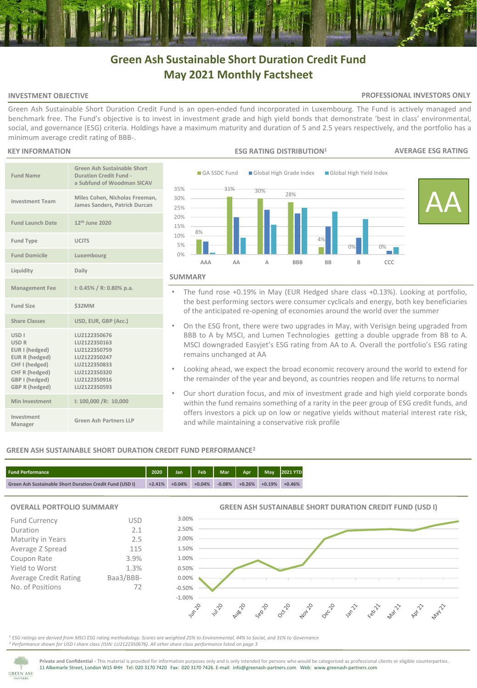# **Green Ash Sustainable Short Duration Credit Fund May 2021 Monthly Factsheet**

# **INVESTMENT OBJECTIVE**

# **PROFESSIONAL INVESTORS ONLY**

Green Ash Sustainable Short Duration Credit Fund is an open-ended fund incorporated in Luxembourg. The Fund is actively managed and benchmark free. The Fund's objective is to invest in investment grade and high yield bonds that demonstrate 'best in class' environmental, social, and governance (ESG) criteria. Holdings have a maximum maturity and duration of 5 and 2.5 years respectively, and the portfolio has a minimum average credit rating of BBB-.

# **KEY INFORMATION**

| <b>Fund Name</b>                                                                                                                                    | Green Ash Sustainable Short<br><b>Duration Credit Fund -</b><br>a Subfund of Woodman SICAV                                   |
|-----------------------------------------------------------------------------------------------------------------------------------------------------|------------------------------------------------------------------------------------------------------------------------------|
| <b>Investment Team</b>                                                                                                                              | Miles Cohen, Nicholas Freeman,<br>James Sanders, Patrick Durcan                                                              |
| <b>Fund Launch Date</b>                                                                                                                             | 12 <sup>th</sup> June 2020                                                                                                   |
| <b>Fund Type</b>                                                                                                                                    | <b>UCITS</b>                                                                                                                 |
| <b>Fund Domicile</b>                                                                                                                                | Luxembourg                                                                                                                   |
| Liquidity                                                                                                                                           | Daily                                                                                                                        |
| <b>Management Fee</b>                                                                                                                               | $1: 0.45\% / R: 0.80\%$ p.a.                                                                                                 |
| <b>Fund Size</b>                                                                                                                                    | \$32MM                                                                                                                       |
| <b>Share Classes</b>                                                                                                                                | USD, EUR, GBP (Acc.)                                                                                                         |
| USD <sub>I</sub><br><b>USD R</b><br>EUR I (hedged)<br>EUR R (hedged)<br>CHF I (hedged)<br>CHF R (hedged)<br>GBP I (hedged)<br><b>GBP R (hedged)</b> | LU2122350676<br>LU2122350163<br>LU2122350759<br>LU2122350247<br>LU2122350833<br>LU2122350320<br>LU2122350916<br>LU2122350593 |
| Min Investment                                                                                                                                      | I: 100,000 /R: 10,000                                                                                                        |
| Investment<br>Manager                                                                                                                               | Green Ash Partners LLP                                                                                                       |



### **SUMMARY**

- The fund rose +0.19% in May (EUR Hedged share class +0.13%). Looking at portfolio, the best performing sectors were consumer cyclicals and energy, both key beneficiaries of the anticipated re-opening of economies around the world over the summer
- On the ESG front, there were two upgrades in May, with Verisign being upgraded from BBB to A by MSCI, and Lumen Technologies getting a double upgrade from BB to A. MSCI downgraded Easyjet's ESG rating from AA to A. Overall the portfolio's ESG rating remains unchanged at AA
- Looking ahead, we expect the broad economic recovery around the world to extend for the remainder of the year and beyond, as countries reopen and life returns to normal
- Our short duration focus, and mix of investment grade and high yield corporate bonds within the fund remains something of a rarity in the peer group of ESG credit funds, and offers investors a pick up on low or negative yields without material interest rate risk, and while maintaining a conservative risk profile

# **GREEN ASH SUSTAINABLE SHORT DURATION CREDIT FUND PERFORMANCE<sup>2</sup>**

| <b>Fund Performance</b>                                  | 2020     | <b>Jan</b> |          |          | Feb Mar Apr May 2021 YTD |          |          |
|----------------------------------------------------------|----------|------------|----------|----------|--------------------------|----------|----------|
| Green Ash Sustainable Short Duration Credit Fund (USD I) | $+2.41%$ | $+0.04%$   | $+0.04%$ | $-0.08%$ | $+0.26%$                 | $+0.19%$ | $+0.46%$ |

# **OVERALL PORTFOLIO SUMMARY**

| <b>Fund Currency</b>         | USD       |
|------------------------------|-----------|
| Duration                     | 2.1       |
| Maturity in Years            | 2.5       |
| Average Z Spread             | 115       |
| Coupon Rate                  | 3.9%      |
| Yield to Worst               | 1.3%      |
| <b>Average Credit Rating</b> | Baa3/BBB- |
| No. of Positions             | 72        |
|                              |           |

**GREEN ASH SUSTAINABLE SHORT DURATION CREDIT FUND (USD I)**



<sup>1</sup> *ESG ratings are derived from MSCI ESG rating methodology. Scores are weighted 25% to Environmental, 44% to Social, and 31% to Governance <sup>2</sup> Performance shown for USD I share class (ISIN: LU2122350676). All other share class performance listed on page 3* 

**GREEN ASH** 

**Private and Confidential -** This material is provided for information purposes only and is only intended for persons who would be categorised as professional clients or eligible counterparties. 11 Albemarle Street, London W1S 4HH Tel: 020 3170 7420 Fax: 020 3170 7426. E-mail: info@greenash-partners.com Web: www.greenash-partners.com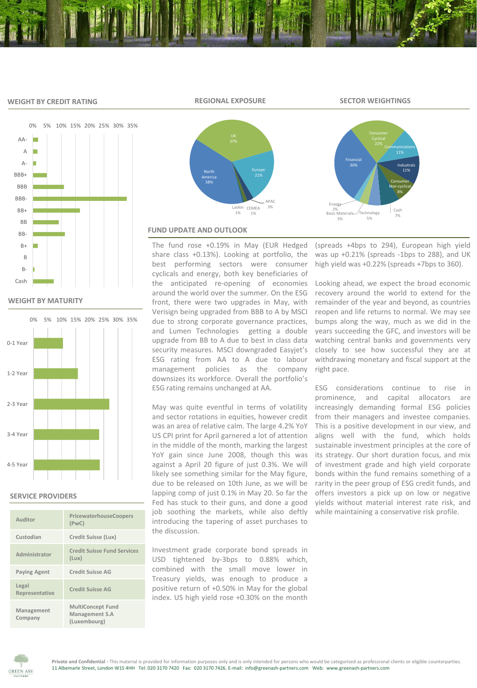### **WEIGHT BY CREDIT RATING**

**REGIONAL EXPOSURE SECTOR WEIGHTINGS**

Financial 30%

Basic Materials 3% Energy 2%



# **WEIGHT BY MATURITY**



### **SERVICE PROVIDERS**

| Auditor                 | PricewaterhouseCoopers<br>(PWC)                            |
|-------------------------|------------------------------------------------------------|
| Custodian               | Credit Suisse (Lux)                                        |
| Administrator           | <b>Credit Suisse Fund Services</b><br>(Lux)                |
| <b>Paying Agent</b>     | <b>Credit Suisse AG</b>                                    |
| Legal<br>Representative | Credit Suisse AG                                           |
| Management<br>Company   | <b>MultiConcept Fund</b><br>Management S.A<br>(Luxembourg) |



# **FUND UPDATE AND OUTLOOK**

The fund rose +0.19% in May (EUR Hedged share class +0.13%). Looking at portfolio, the best performing sectors were consumer cyclicals and energy, both key beneficiaries of the anticipated re-opening of economies around the world over the summer. On the ESG front, there were two upgrades in May, with Verisign being upgraded from BBB to A by MSCI due to strong corporate governance practices, and Lumen Technologies getting a double upgrade from BB to A due to best in class data security measures. MSCI downgraded Easyjet's ESG rating from AA to A due to labour management policies as the company downsizes its workforce. Overall the portfolio's ESG rating remains unchanged at AA.

May was quite eventful in terms of volatility and sector rotations in equities, however credit was an area of relative calm. The large 4.2% YoY US CPI print for April garnered a lot of attention in the middle of the month, marking the largest YoY gain since June 2008, though this was against a April 20 figure of just 0.3%. We will likely see something similar for the May figure, due to be released on 10th June, as we will be lapping comp of just 0.1% in May 20. So far the Fed has stuck to their guns, and done a good job soothing the markets, while also deftly introducing the tapering of asset purchases to the discussion.

Investment grade corporate bond spreads in USD tightened by-3bps to 0.88% which, combined with the small move lower in Treasury yields, was enough to produce a positive return of +0.50% in May for the global index. US high yield rose +0.30% on the month (spreads +4bps to 294), European high yield was up +0.21% (spreads -1bps to 288), and UK high yield was +0.22% (spreads +7bps to 360).

Cash

Technology 1 2007<br>7% 7% 5%

**Communications** 

Industrals 11% Consumer Non-cyclical 8%

Looking ahead, we expect the broad economic recovery around the world to extend for the remainder of the year and beyond, as countries reopen and life returns to normal. We may see bumps along the way, much as we did in the years succeeding the GFC, and investors will be watching central banks and governments very closely to see how successful they are at withdrawing monetary and fiscal support at the right pace.

ESG considerations continue to rise in prominence, and capital allocators are increasingly demanding formal ESG policies from their managers and investee companies. This is a positive development in our view, and aligns well with the fund, which holds sustainable investment principles at the core of its strategy. Our short duration focus, and mix of investment grade and high yield corporate bonds within the fund remains something of a rarity in the peer group of ESG credit funds, and offers investors a pick up on low or negative yields without material interest rate risk, and while maintaining a conservative risk profile.